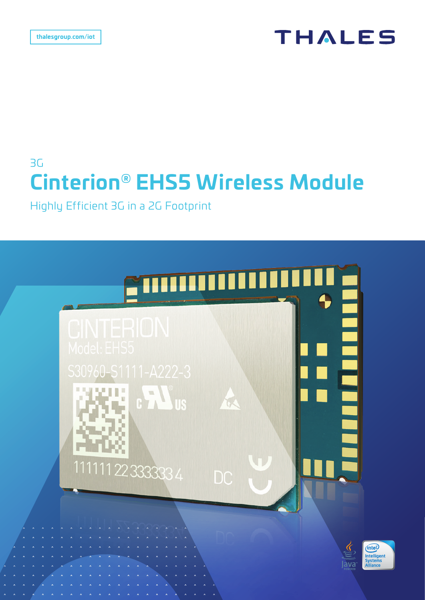# **THALES**

# 3G **Cinterion® EHS5 Wireless Module**

Highly Efficient 3G in a 2G Footprint

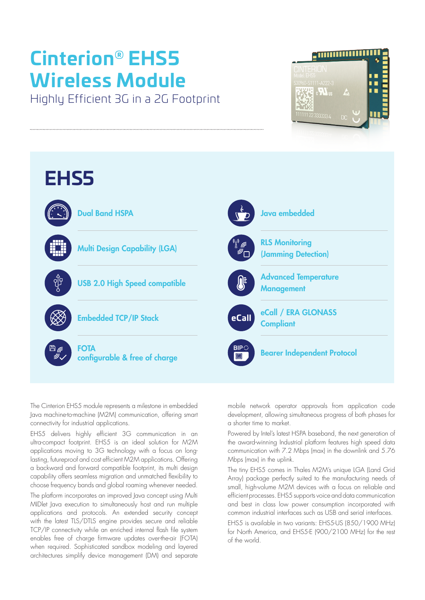# **Cinterion® EHS5 Wireless Module**

Highly Efficient 3G in a 2G Footprint





The Cinterion EHS5 module represents a milestone in embedded Java machine-to-machine (M2M) communication, offering smart connectivity for industrial applications.

EHS5 delivers highly efficient 3G communication in an ultra-compact footprint. EHS5 is an ideal solution for M2M applications moving to 3G technology with a focus on longlasting, futureproof and cost efficient M2M applications. Offering a backward and forward compatible footprint, its multi design capability offers seamless migration and unmatched flexibility to choose frequency bands and global roaming whenever needed.

The platform incorporates an improved Java concept using Multi MIDlet Java execution to simultaneously host and run multiple applications and protocols. An extended security concept with the latest TLS/DTLS engine provides secure and reliable TCP/IP connectivity while an enriched internal flash file system enables free of charge firmware updates over-the-air (FOTA) when required. Sophisticated sandbox modeling and layered architectures simplify device management (DM) and separate mobile network operator approvals from application code development, allowing simultaneous progress of both phases for a shorter time to market.

Powered by Intel's latest HSPA baseband, the next generation of the award-winning Industrial platform features high speed data communication with 7.2 Mbps (max) in the downlink and 5.76 Mbps (max) in the uplink.

The tiny EHS5 comes in Thales M2M's unique LGA (Land Grid Array) package perfectly suited to the manufacturing needs of small, high-volume M2M devices with a focus on reliable and efficient processes. EHS5 supports voice and data communication and best in class low power consumption incorporated with common industrial interfaces such as USB and serial interfaces.

EHS5 is available in two variants: EHS5-US (850/1900 MHz) for North America, and EHS5-E (900/2100 MHz) for the rest of the world.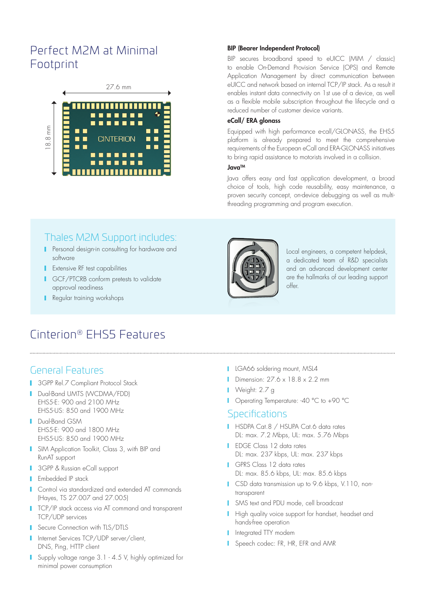## Perfect M2M at Minimal Footprint



#### BIP (Bearer Independent Protocol)

BIP secures broadband speed to eUICC (MIM / classic) to enable On-Demand Provision Service (OPS) and Remote Application Management by direct communication between eUICC and network based on internal TCP/IP stack. As a result it enables instant data connectivity on 1st use of a device, as well as a flexible mobile subscription throughout the lifecycle and a reduced number of customer device variants.

#### eCall/ ERA glonass

Equipped with high performance e-call/GLONASS, the EHS5 platform is already prepared to meet the comprehensive requirements of the European eCall and ERA-GLONASS initiatives to bring rapid assistance to motorists involved in a collision.

#### JavaTM

Java offers easy and fast application development, a broad choice of tools, high code reusability, easy maintenance, a proven security concept, on-device debugging as well as multithreading programming and program execution.

### Thales M2M Support includes:

- **Personal design-in consulting for hardware and** software
- **Extensive RF test capabilities**
- **I** GCF/PTCRB conform pretests to validate approval readiness
- Regular training workshops



Local engineers, a competent helpdesk, a dedicated team of R&D specialists and an advanced development center are the hallmarks of our leading support offer.

## Cinterion® EHS5 Features

### General Features

- **3GPP Rel.7 Compliant Protocol Stack**
- Dual-Band UMTS (WCDMA/FDD) EHS5-E: 900 and 2100 MHz EHS5-US: 850 and 1900 MHz
- **Dual-Band GSM** EHS5-E: 900 and 1800 MHz EHS5-US: 850 and 1900 MHz
- **I** SIM Application Toolkit, Class 3, with BIP and RunAT support
- **3GPP & Russian eCall support**
- **F** Embedded IP stack
- **Control via standardized and extended AT commands** (Hayes, TS 27.007 and 27.005)
- **TCP/IP stack access via AT command and transparent** TCP/UDP services
- Secure Connection with TLS/DTLS
- Internet Services TCP/UDP server/client, DNS, Ping, HTTP client
- **Supply voltage range 3.1 4.5 V, highly optimized for** minimal power consumption
- **LGA66** soldering mount, MSL4
- Dimension:  $27.6 \times 18.8 \times 2.2$  mm
- Veight: 2.7 g
- **I** Operating Temperature: -40 °C to +90 °C

#### **Specifications**

- HSDPA Cat.8 / HSUPA Cat.6 data rates DL: max. 7.2 Mbps, UL: max. 5.76 Mbps
- **I** EDGE Class 12 data rates DL: max. 237 kbps, UL: max. 237 kbps
- GPRS Class 12 data rates DL: max. 85.6 kbps, UL: max. 85.6 kbps
- **CSD** data transmission up to 9.6 kbps, V.110, nontransparent
- **I** SMS text and PDU mode, cell broadcast
- High quality voice support for handset, headset and hands-free operation
- **I** Integrated TTY modem
- Speech codec: FR, HR, EFR and AMR